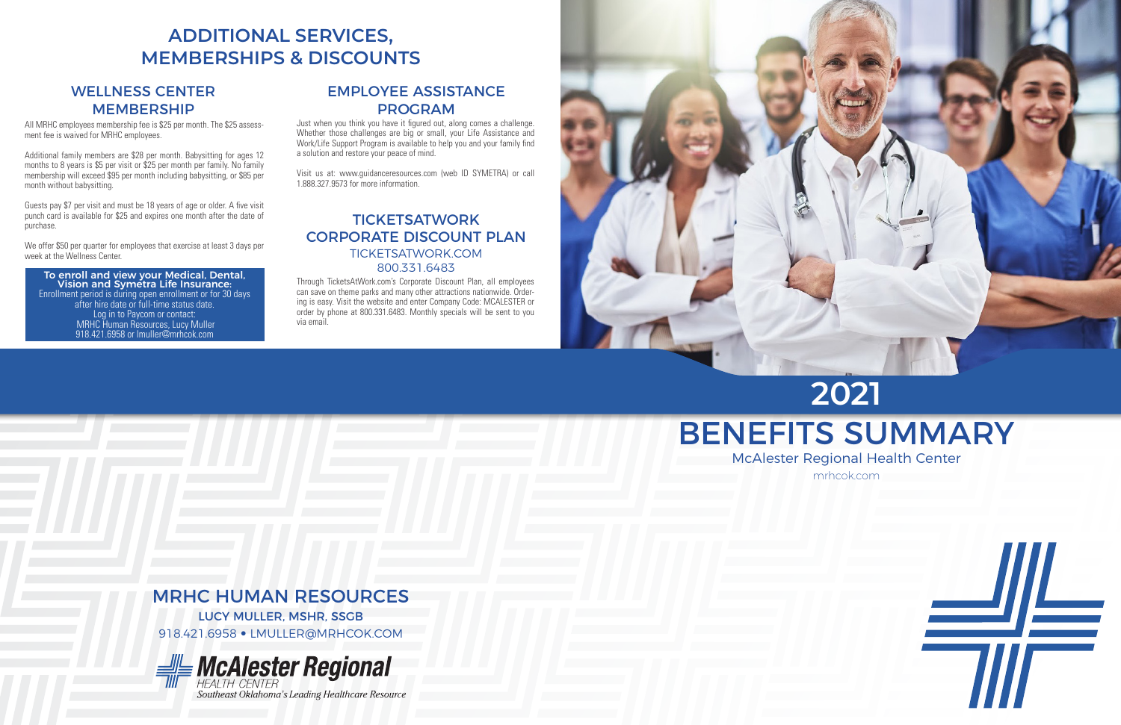# BENEFITS SUMMARY McAlester Regional Health Center **2021**



mrhcok.com

#### **TICKETSATWORK** CORPORATE DISCOUNT PLAN TICKETSATWORK.COM 800.331.6483

Through TicketsAtWork.com's Corporate Discount Plan, all employees can save on theme parks and many other attractions nationwide. Ordering is easy. Visit the website and enter Company Code: MCALESTER or order by phone at 800.331.6483. Monthly specials will be sent to you via email.





### EMPLOYEE ASSISTANCE PROGRAM

Just when you think you have it figured out, along comes a challenge. Whether those challenges are big or small, your Life Assistance and Work/Life Support Program is available to help you and your family find a solution and restore your peace of mind.

Visit us at: www.guidanceresources.com (web ID SYMETRA) or call 1.888.327.9573 for more information.

### **ADDITIONAL SERVICES, MEMBERSHIPS & DISCOUNTS**

#### WELLNESS CENTER MEMBERSHIP

All MRHC employees membership fee is \$25 per month. The \$25 assessment fee is waived for MRHC employees.

Additional family members are \$28 per month. Babysitting for ages 12 months to 8 years is \$5 per visit or \$25 per month per family. No family membership will exceed \$95 per month including babysitting, or \$85 per month without babysitting.

Guests pay \$7 per visit and must be 18 years of age or older. A five visit punch card is available for \$25 and expires one month after the date of purchase.

We offer \$50 per quarter for employees that exercise at least 3 days per week at the Wellness Center.

### To enroll and view your Medical, Dental, Vision and Symetra Life Insurance:

Enrollment period is during open enrollment or for 30 days after hire date or full-time status date. Log in to Paycom or contact: MRHC Human Resources, Lucy Muller 918.421.6958 or lmuller@mrhcok.com

### MRHC HUMAN RESOURCES

LUCY MULLER, MSHR, SSGB

918.421.6958 • LMULLER@MRHCOK.COM



Southeast Oklahoma's Leading Healthcare Resource